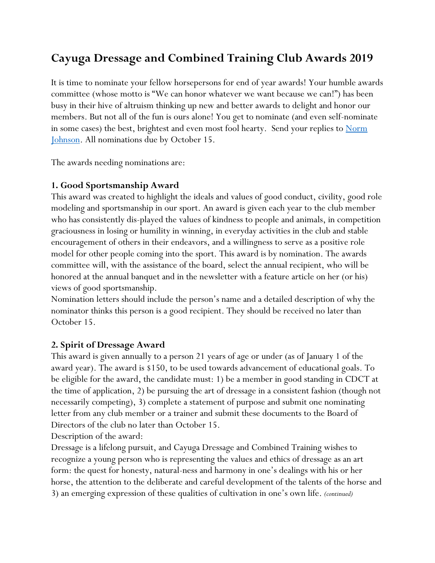# **Cayuga Dressage and Combined Training Club Awards 2019**

It is time to nominate your fellow horsepersons for end of year awards! Your humble awards committee (whose motto is "We can honor whatever we want because we can!") has been busy in their hive of altruism thinking up new and better awards to delight and honor our members. But not all of the fun is ours alone! You get to nominate (and even self-nominate in some cases) the best, brightest and even most fool hearty. Send your replies to Norm [Johnson.](mailto:njohnson@ithaca.edu) All nominations due by October 15.

The awards needing nominations are:

## **1. Good Sportsmanship Award**

This award was created to highlight the ideals and values of good conduct, civility, good role modeling and sportsmanship in our sport. An award is given each year to the club member who has consistently dis-played the values of kindness to people and animals, in competition graciousness in losing or humility in winning, in everyday activities in the club and stable encouragement of others in their endeavors, and a willingness to serve as a positive role model for other people coming into the sport. This award is by nomination. The awards committee will, with the assistance of the board, select the annual recipient, who will be honored at the annual banquet and in the newsletter with a feature article on her (or his) views of good sportsmanship.

Nomination letters should include the person's name and a detailed description of why the nominator thinks this person is a good recipient. They should be received no later than October 15.

# **2. Spirit of Dressage Award**

This award is given annually to a person 21 years of age or under (as of January 1 of the award year). The award is \$150, to be used towards advancement of educational goals. To be eligible for the award, the candidate must: 1) be a member in good standing in CDCT at the time of application, 2) be pursuing the art of dressage in a consistent fashion (though not necessarily competing), 3) complete a statement of purpose and submit one nominating letter from any club member or a trainer and submit these documents to the Board of Directors of the club no later than October 15.

Description of the award:

Dressage is a lifelong pursuit, and Cayuga Dressage and Combined Training wishes to recognize a young person who is representing the values and ethics of dressage as an art form: the quest for honesty, natural-ness and harmony in one's dealings with his or her horse, the attention to the deliberate and careful development of the talents of the horse and 3) an emerging expression of these qualities of cultivation in one's own life. *(continued)*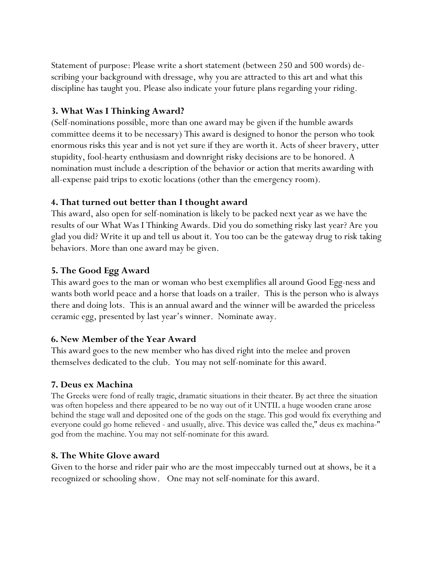Statement of purpose: Please write a short statement (between 250 and 500 words) describing your background with dressage, why you are attracted to this art and what this discipline has taught you. Please also indicate your future plans regarding your riding.

## **3. What Was I Thinking Award?**

(Self-nominations possible, more than one award may be given if the humble awards committee deems it to be necessary) This award is designed to honor the person who took enormous risks this year and is not yet sure if they are worth it. Acts of sheer bravery, utter stupidity, fool-hearty enthusiasm and downright risky decisions are to be honored. A nomination must include a description of the behavior or action that merits awarding with all-expense paid trips to exotic locations (other than the emergency room).

## **4. That turned out better than I thought award**

This award, also open for self-nomination is likely to be packed next year as we have the results of our What Was I Thinking Awards. Did you do something risky last year? Are you glad you did? Write it up and tell us about it. You too can be the gateway drug to risk taking behaviors. More than one award may be given.

## **5. The Good Egg Award**

This award goes to the man or woman who best exemplifies all around Good Egg-ness and wants both world peace and a horse that loads on a trailer. This is the person who is always there and doing lots. This is an annual award and the winner will be awarded the priceless ceramic egg, presented by last year's winner. Nominate away.

#### **6. New Member of the Year Award**

This award goes to the new member who has dived right into the melee and proven themselves dedicated to the club. You may not self-nominate for this award.

#### **7. Deus ex Machina**

The Greeks were fond of really tragic, dramatic situations in their theater. By act three the situation was often hopeless and there appeared to be no way out of it UNTIL a huge wooden crane arose behind the stage wall and deposited one of the gods on the stage. This god would fix everything and everyone could go home relieved - and usually, alive. This device was called the," deus ex machina-" god from the machine. You may not self-nominate for this award.

#### **8. The White Glove award**

Given to the horse and rider pair who are the most impeccably turned out at shows, be it a recognized or schooling show. One may not self-nominate for this award.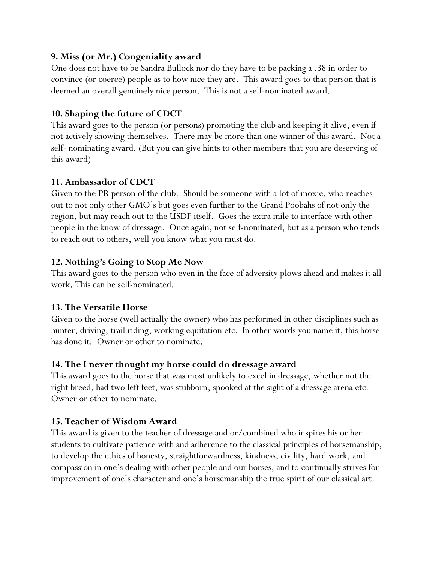# **9. Miss (or Mr.) Congeniality award**

One does not have to be Sandra Bullock nor do they have to be packing a .38 in order to convince (or coerce) people as to how nice they are. This award goes to that person that is deemed an overall genuinely nice person. This is not a self-nominated award.

# **10. Shaping the future of CDCT**

This award goes to the person (or persons) promoting the club and keeping it alive, even if not actively showing themselves. There may be more than one winner of this award. Not a self- nominating award. (But you can give hints to other members that you are deserving of this award)

## **11. Ambassador of CDCT**

Given to the PR person of the club. Should be someone with a lot of moxie, who reaches out to not only other GMO's but goes even further to the Grand Poobahs of not only the region, but may reach out to the USDF itself. Goes the extra mile to interface with other people in the know of dressage. Once again, not self-nominated, but as a person who tends to reach out to others, well you know what you must do.

## **12. Nothing's Going to Stop Me Now**

This award goes to the person who even in the face of adversity plows ahead and makes it all work. This can be self-nominated.

#### **13. The Versatile Horse**

Given to the horse (well actually the owner) who has performed in other disciplines such as hunter, driving, trail riding, working equitation etc. In other words you name it, this horse has done it. Owner or other to nominate.

# **14. The I never thought my horse could do dressage award**

This award goes to the horse that was most unlikely to excel in dressage, whether not the right breed, had two left feet, was stubborn, spooked at the sight of a dressage arena etc. Owner or other to nominate.

# **15. Teacher of Wisdom Award**

This award is given to the teacher of dressage and or/combined who inspires his or her students to cultivate patience with and adherence to the classical principles of horsemanship, to develop the ethics of honesty, straightforwardness, kindness, civility, hard work, and compassion in one's dealing with other people and our horses, and to continually strives for improvement of one's character and one's horsemanship the true spirit of our classical art.